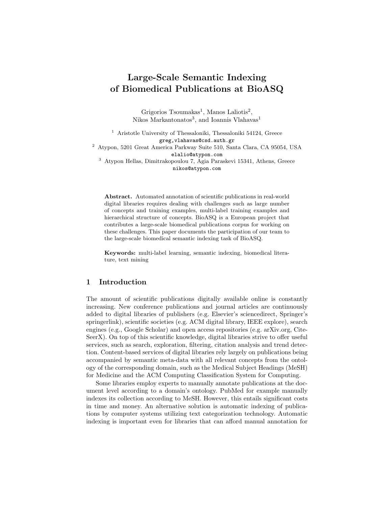# Large-Scale Semantic Indexing of Biomedical Publications at BioASQ

Grigorios Tsoumakas<sup>1</sup>, Manos Laliotis<sup>2</sup>, Nikos Markantonatos<sup>3</sup>, and Ioannis Vlahavas<sup>1</sup>

<sup>1</sup> Aristotle University of Thessaloniki, Thessaloniki 54124, Greece greg,vlahavas@csd.auth.gr

<sup>2</sup> Atypon, 5201 Great America Parkway Suite 510, Santa Clara, CA 95054, USA elalio@atypon.com

 $^3\,$  Atypon Hellas, Dimitrakopoulou 7, Agia Paraskevi 15341, Athens, Greece nikos@atypon.com

Abstract. Automated annotation of scientific publications in real-world digital libraries requires dealing with challenges such as large number of concepts and training examples, multi-label training examples and hierarchical structure of concepts. BioASQ is a European project that contributes a large-scale biomedical publications corpus for working on these challenges. This paper documents the participation of our team to the large-scale biomedical semantic indexing task of BioASQ.

Keywords: multi-label learning, semantic indexing, biomedical literature, text mining

## 1 Introduction

The amount of scientific publications digitally available online is constantly increasing. New conference publications and journal articles are continuously added to digital libraries of publishers (e.g. Elsevier's sciencedirect, Springer's springerlink), scientific societies (e.g. ACM digital library, IEEE explore), search engines (e.g., Google Scholar) and open access repositories (e.g. arXiv.org, Cite-SeerX). On top of this scientific knowledge, digital libraries strive to offer useful services, such as search, exploration, filtering, citation analysis and trend detection. Content-based services of digital libraries rely largely on publications being accompanied by semantic meta-data with all relevant concepts from the ontology of the corresponding domain, such as the Medical Subject Headings (MeSH) for Medicine and the ACM Computing Classification System for Computing.

Some libraries employ experts to manually annotate publications at the document level according to a domain's ontology. PubMed for example manually indexes its collection according to MeSH. However, this entails significant costs in time and money. An alternative solution is automatic indexing of publications by computer systems utilizing text categorization technology. Automatic indexing is important even for libraries that can afford manual annotation for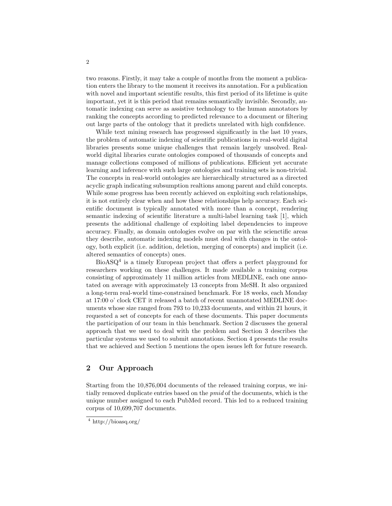two reasons. Firstly, it may take a couple of months from the moment a publication enters the library to the moment it receives its annotation. For a publication with novel and important scientific results, this first period of its lifetime is quite important, yet it is this period that remains semantically invisible. Secondly, automatic indexing can serve as assistive technology to the human annotators by ranking the concepts according to predicted relevance to a document or filtering out large parts of the ontology that it predicts unrelated with high confidence.

While text mining research has progressed significantly in the last 10 years, the problem of automatic indexing of scientific publications in real-world digital libraries presents some unique challenges that remain largely unsolved. Realworld digital libraries curate ontologies composed of thousands of concepts and manage collections composed of millions of publications. Efficient yet accurate learning and inference with such large ontologies and training sets is non-trivial. The concepts in real-world ontologies are hierarchically structured as a directed acyclic graph indicating subsumption realtions among parent and child concepts. While some progress has been recently achieved on exploiting such relationships, it is not entirely clear when and how these relationships help accuracy. Each scientific document is typically annotated with more than a concept, rendering semantic indexing of scientific literature a multi-label learning task [1], which presents the additional challenge of exploiting label dependencies to improve accuracy. Finally, as domain ontologies evolve on par with the scienctific areas they describe, automatic indexing models must deal with changes in the ontology, both explicit (i.e. addition, deletion, merging of concepts) and implicit (i.e. altered semantics of concepts) ones.

BioASQ<sup>4</sup> is a timely European project that offers a perfect playground for researchers working on these challenges. It made available a training corpus consisting of approximately 11 million articles from MEDLINE, each one annotated on average with approximately 13 concepts from MeSH. It also organized a long-term real-world time-constrained benchmark. For 18 weeks, each Monday at 17:00 o' clock CET it released a batch of recent unannotated MEDLINE documents whose size ranged from 793 to 10,233 documents, and within 21 hours, it requested a set of concepts for each of these documents. This paper documents the participation of our team in this benchmark. Section 2 discusses the general approach that we used to deal with the problem and Section 3 describes the particular systems we used to submit annotations. Section 4 presents the results that we achieved and Section 5 mentions the open issues left for future research.

# 2 Our Approach

Starting from the 10,876,004 documents of the released training corpus, we initially removed duplicate entries based on the pmid of the documents, which is the unique number assigned to each PubMed record. This led to a reduced training corpus of 10,699,707 documents.

<sup>4</sup> http://bioasq.org/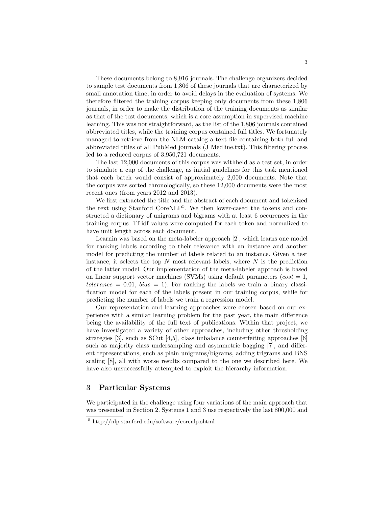These documents belong to 8,916 journals. The challenge organizers decided to sample test documents from 1,806 of these journals that are characterized by small annotation time, in order to avoid delays in the evaluation of systems. We therefore filtered the training corpus keeping only documents from these 1,806 journals, in order to make the distribution of the training documents as similar as that of the test documents, which is a core assumption in supervised machine learning. This was not straightforward, as the list of the 1,806 journals contained abbreviated titles, while the training corpus contained full titles. We fortunately managed to retrieve from the NLM catalog a text file containing both full and abbreviated titles of all PubMed journals (J Medline.txt). This filtering process led to a reduced corpus of 3,950,721 documents.

The last 12,000 documents of this corpus was withheld as a test set, in order to simulate a cup of the challenge, as initial guidelines for this task mentioned that each batch would consist of approximately 2,000 documents. Note that the corpus was sorted chronologically, so these 12,000 documents were the most recent ones (from years 2012 and 2013).

We first extracted the title and the abstract of each document and tokenized the text using Stanford CoreNLP<sup>5</sup> . We then lower-cased the tokens and constructed a dictionary of unigrams and bigrams with at least 6 occurences in the training corpus. Tf-idf values were computed for each token and normalized to have unit length across each document.

Learnin was based on the meta-labeler approach [2], which learns one model for ranking labels according to their relevance with an instance and another model for predicting the number of labels related to an instance. Given a test instance, it selects the top  $N$  most relevant labels, where  $N$  is the prediction of the latter model. Our implementation of the meta-labeler approach is based on linear support vector machines (SVMs) using default parameters ( $cost = 1$ ,  $tolerance = 0.01$ ,  $bias = 1$ ). For ranking the labels we train a binary classification model for each of the labels present in our training corpus, while for predicting the number of labels we train a regression model.

Our representation and learning approaches were chosen based on our experience with a similar learning problem for the past year, the main difference being the availability of the full text of publications. Within that project, we have investigated a variety of other approaches, including other thresholding strategies [3], such as SCut [4,5], class imbalance counterfeiting approaches [6] such as majority class undersampling and asymmetric bagging [7], and different representations, such as plain unigrams/bigrams, adding trigrams and BNS scaling [8], all with worse results compared to the one we described here. We have also unsuccessfully attempted to exploit the hierarchy information.

#### 3 Particular Systems

We participated in the challenge using four variations of the main approach that was presented in Section 2. Systems 1 and 3 use respectively the last 800,000 and

<sup>5</sup> http://nlp.stanford.edu/software/corenlp.shtml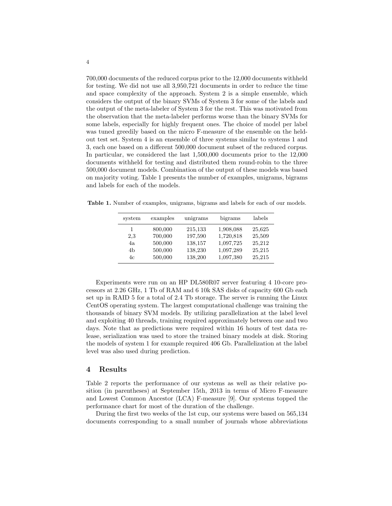700,000 documents of the reduced corpus prior to the 12,000 documents withheld for testing. We did not use all 3,950,721 documents in order to reduce the time and space complexity of the approach. System 2 is a simple ensemble, which considers the output of the binary SVMs of System 3 for some of the labels and the output of the meta-labeler of System 3 for the rest. This was motivated from the observation that the meta-labeler performs worse than the binary SVMs for some labels, especially for highly frequent ones. The choice of model per label was tuned greedily based on the micro F-measure of the ensemble on the heldout test set. System 4 is an ensemble of three systems similar to systems 1 and 3, each one based on a different 500,000 document subset of the reduced corpus. In particular, we considered the last 1,500,000 documents prior to the 12,000 documents withheld for testing and distributed them round-robin to the three 500,000 document models. Combination of the output of these models was based on majority voting. Table 1 presents the number of examples, unigrams, bigrams and labels for each of the models.

Table 1. Number of examples, unigrams, bigrams and labels for each of our models.

| system | examples | unigrams | bigrams   | labels |
|--------|----------|----------|-----------|--------|
| 1      | 800,000  | 215,133  | 1,908,088 | 25,625 |
| 2,3    | 700,000  | 197,590  | 1,720,818 | 25,509 |
| 4a     | 500,000  | 138,157  | 1,097,725 | 25,212 |
| 4b     | 500,000  | 138,230  | 1,097,289 | 25,215 |
| 4c     | 500,000  | 138,200  | 1,097,380 | 25,215 |

Experiments were run on an HP DL580R07 server featuring 4 10-core processors at 2.26 GHz, 1 Tb of RAM and 6 10k SAS disks of capacity 600 Gb each set up in RAID 5 for a total of 2.4 Tb storage. The server is running the Linux CentOS operating system. The largest computational challenge was training the thousands of binary SVM models. By utilizing parallelization at the label level and exploiting 40 threads, training required approximately between one and two days. Note that as predictions were required within 16 hours of test data release, serialization was used to store the trained binary models at disk. Storing the models of system 1 for example required 406 Gb. Parallelization at the label level was also used during prediction.

#### 4 Results

Table 2 reports the performance of our systems as well as their relative position (in parentheses) at September 15th, 2013 in terms of Micro F-measure and Lowest Common Ancestor (LCA) F-measure [9]. Our systems topped the performance chart for most of the duration of the challenge.

During the first two weeks of the 1st cup, our systems were based on 565,134 documents corresponding to a small number of journals whose abbreviations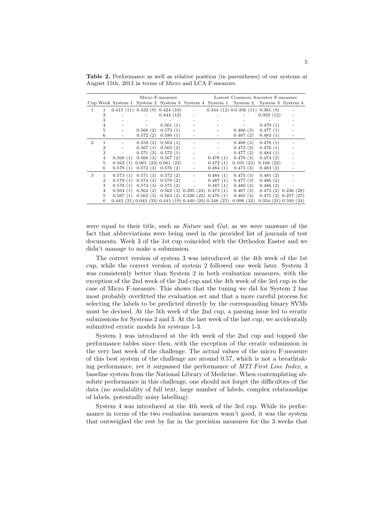| Micro F-measure |                |          |          | Lowest Common Ancestor F-measure                                 |                    |                             |                                                                                  |                    |           |
|-----------------|----------------|----------|----------|------------------------------------------------------------------|--------------------|-----------------------------|----------------------------------------------------------------------------------|--------------------|-----------|
|                 |                |          |          |                                                                  |                    |                             | Cup Week System 1 System 2 System 3 System 4 System 1 System 2 System 3 System 4 |                    |           |
| 1               | 1              |          |          | 0.415(11) 0.432(9) 0.424(10)                                     |                    |                             | 0.344(12)0.0.356(11)0.381(9)                                                     |                    |           |
|                 | $\overline{2}$ |          |          | 0.444(12)                                                        |                    |                             |                                                                                  | 0.392(12)          |           |
|                 | 3              |          |          |                                                                  |                    |                             |                                                                                  |                    |           |
|                 | 4              |          |          | 0.561(1)                                                         |                    |                             |                                                                                  | 0.479(1)           |           |
|                 | 5              |          | 0.566(2) | 0.573(1)                                                         |                    |                             | 0.466(3)                                                                         | 0.477(1)           |           |
|                 | 6              |          | 0.572(2) | 0.580(1)                                                         |                    |                             | 0.467(2)                                                                         | 0.483(1)           |           |
| $\overline{2}$  | 1              |          | 0.559(2) | 0.563(1)                                                         |                    |                             | 0.468(3)                                                                         | 0.478(1)           |           |
|                 | $\overline{2}$ |          | 0.567(1) | 0.565(2)                                                         |                    |                             | 0.472(2)                                                                         | 0.476(1)           |           |
|                 | 3              |          | 0.571(2) | 0.572(1)                                                         |                    |                             | 0.477(2)                                                                         | 0.484(1)           |           |
|                 | 4              | 0.568(1) | 0.566(3) | 0.567(2)                                                         |                    | 0.478(1)                    | 0.470(3)                                                                         | 0.474(2)           |           |
|                 | 5              | 0.563(1) |          | 0.001(23)0.001(22)                                               |                    | 0.472(1)                    | 0.105(23)                                                                        | 0.106(22)          |           |
|                 | 6              | 0.578(1) |          | $0.572(3)$ $0.576(2)$                                            |                    | 0.484(1)                    | 0.473(3)                                                                         | 0.483(2)           |           |
| 3               | 1              | 0.573(1) | 0.571(3) | 0.572(2)                                                         |                    | 0.484(1)                    | 0.475(3)                                                                         | 0.481(2)           |           |
|                 | $\overline{2}$ | 0.579(1) | 0.574(3) | 0.578(2)                                                         |                    | 0.487(1)                    | 0.477(3)                                                                         | 0.486(2)           |           |
|                 | 3              | 0.578(1) | 0.574(3) | 0.575(2)                                                         |                    | 0.487(1)                    | 0.480(3)                                                                         | 0.486(2)           |           |
|                 | 4              | 0.564(1) | 0.562(2) |                                                                  | 0.562(3) 0.295(24) | 0.473(1)                    | 0.467(3)                                                                         | 0.473(2)           | 0.236(28) |
|                 | 5              | 0.567(1) | 0.562(3) |                                                                  |                    | 0.563(2) 0.320(22) 0.476(1) | 0.465(4)                                                                         | 0.471(2)           | 0.257(27) |
|                 | 6              |          |          | $0.443$ (21) $0.043$ (33) $0.443$ (19) $0.440$ (20) $0.348$ (25) |                    |                             | 0.096(33)                                                                        | 0.354(21)0.349(24) |           |

Table 2. Performance as well as relative position (in parentheses) of our systems at August 15th, 2013 in terms of Micro and LCA F-measure.

were equal to their title, such as Nature and Gut, as we were unaware of the fact that abbreviations were being used in the provided list of journals of test documents. Week 3 of the 1st cup coincided with the Orthodox Easter and we didn't manage to make a submission.

The correct version of system 3 was introduced at the 4th week of the 1st cup, while the correct version of system 2 followed one week later. System 3 was consistently better than System 2 in both evaluation measures, with the exception of the 2nd week of the 2nd cup and the 4th week of the 3rd cup in the case of Micro F-measure. This shows that the tuning we did for System 2 has most probably overfitted the evaluation set and that a more careful process for selecting the labels to be predicted directly by the corresponding binary SVMs must be devised. At the 5th week of the 2nd cup, a parsing issue led to erratic submissions for Systems 2 and 3. At the last week of the last cup, we accidentally submitted erratic models for systems 1-3.

System 1 was introduced at the 4th week of the 2nd cup and topped the performance tables since then, with the exception of the erratic submission in the very last week of the challenge. The actual values of the micro F-measure of this best system of the challenge are around 0.57, which is not a breathtaking performance, yet it surpassed the performance of MTI First Line Index, a baseline system from the National Library of Medicine. When contemplating absolute performance in this challenge, one should not forget the difficulties of the data (no availability of full text, large number of labels, complex relationships of labels, potentially noisy labelling).

System 4 was introduced at the 4th week of the 3rd cup. While its performance in terms of the two evaluation measures wasn't good, it was the system that outweighed the rest by far in the precision measures for the 3 weeks that